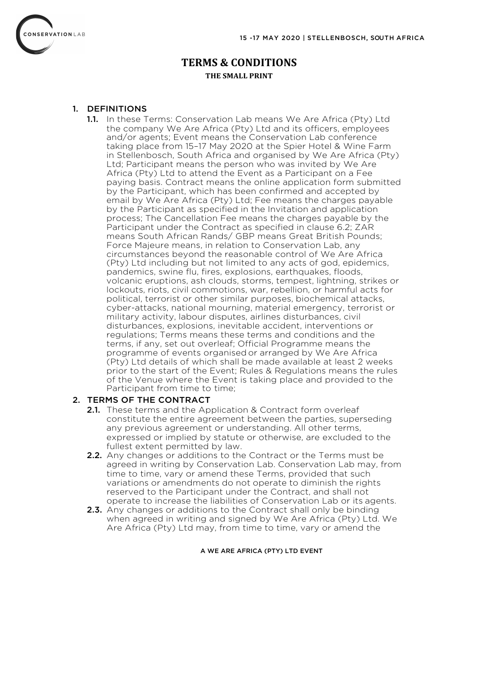

# **TERMS & CONDITIONS THE SMALL PRINT**

### 1. DEFINITIONS

1.1. In these Terms: Conservation Lab means We Are Africa (Pty) Ltd the company We Are Africa (Pty) Ltd and its officers, employees and/or agents; Event means the Conservation Lab conference taking place from 15–17 May 2020 at the Spier Hotel & Wine Farm in Stellenbosch, South Africa and organised by We Are Africa (Pty) Ltd; Participant means the person who was invited by We Are Africa (Pty) Ltd to attend the Event as a Participant on a Fee paying basis. Contract means the online application form submitted by the Participant, which has been confirmed and accepted by email by We Are Africa (Pty) Ltd; Fee means the charges payable by the Participant as specified in the Invitation and application process; The Cancellation Fee means the charges payable by the Participant under the Contract as specified in clause 6.2; ZAR means South African Rands/ GBP means Great British Pounds; Force Majeure means, in relation to Conservation Lab, any circumstances beyond the reasonable control of We Are Africa (Pty) Ltd including but not limited to any acts of god, epidemics, pandemics, swine flu, fires, explosions, earthquakes, floods, volcanic eruptions, ash clouds, storms, tempest, lightning, strikes or lockouts, riots, civil commotions, war, rebellion, or harmful acts for political, terrorist or other similar purposes, biochemical attacks, cyber-attacks, national mourning, material emergency, terrorist or military activity, labour disputes, airlines disturbances, civil disturbances, explosions, inevitable accident, interventions or regulations; Terms means these terms and conditions and the terms, if any, set out overleaf; Official Programme means the programme of events organised or arranged by We Are Africa (Pty) Ltd details of which shall be made available at least 2 weeks prior to the start of the Event; Rules & Regulations means the rules of the Venue where the Event is taking place and provided to the Participant from time to time;

## 2. TERMS OF THE CONTRACT

- 2.1. These terms and the Application & Contract form overleaf constitute the entire agreement between the parties, superseding any previous agreement or understanding. All other terms, expressed or implied by statute or otherwise, are excluded to the fullest extent permitted by law.
- 2.2. Any changes or additions to the Contract or the Terms must be agreed in writing by Conservation Lab. Conservation Lab may, from time to time, vary or amend these Terms, provided that such variations or amendments do not operate to diminish the rights reserved to the Participant under the Contract, and shall not operate to increase the liabilities of Conservation Lab or its agents.
- 2.3. Any changes or additions to the Contract shall only be binding when agreed in writing and signed by We Are Africa (Pty) Ltd. We Are Africa (Pty) Ltd may, from time to time, vary or amend the

#### A WE ARE AFRICA (PTY) LTD EVENT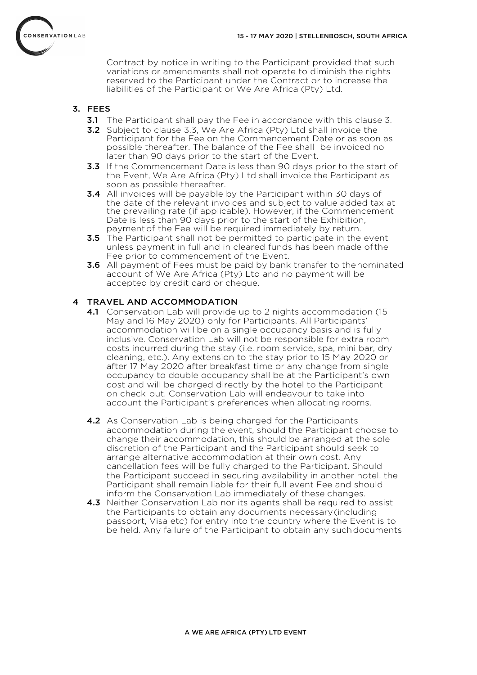

Contract by notice in writing to the Participant provided that such variations or amendments shall not operate to diminish the rights reserved to the Participant under the Contract or to increase the liabilities of the Participant or We Are Africa (Pty) Ltd.

## 3. FEES

- **3.1** The Participant shall pay the Fee in accordance with this clause 3.
- **3.2** Subject to clause 3.3, We Are Africa (Pty) Ltd shall invoice the Participant for the Fee on the Commencement Date or as soon as possible thereafter. The balance of the Fee shall be invoiced no later than 90 days prior to the start of the Event.
- **3.3** If the Commencement Date is less than 90 days prior to the start of the Event, We Are Africa (Pty) Ltd shall invoice the Participant as soon as possible thereafter.
- **3.4** All invoices will be payable by the Participant within 30 days of the date of the relevant invoices and subject to value added tax at the prevailing rate (if applicable). However, if the Commencement Date is less than 90 days prior to the start of the Exhibition, paymentof the Fee will be required immediately by return.
- **3.5** The Participant shall not be permitted to participate in the event unless payment in full and in cleared funds has been made of the Fee prior to commencement of the Event.
- **3.6** All payment of Fees must be paid by bank transfer to thenominated account of We Are Africa (Pty) Ltd and no payment will be accepted by credit card or cheque.

# 4 TRAVEL AND ACCOMMODATION

- 4.1 Conservation Lab will provide up to 2 nights accommodation (15 May and 16 May 2020) only for Participants. All Participants' accommodation will be on a single occupancy basis and is fully inclusive. Conservation Lab will not be responsible for extra room costs incurred during the stay (i.e. room service, spa, mini bar, dry cleaning, etc.). Any extension to the stay prior to 15 May 2020 or after 17 May 2020 after breakfast time or any change from single occupancy to double occupancy shall be at the Participant's own cost and will be charged directly by the hotel to the Participant on check-out. Conservation Lab will endeavour to take into account the Participant's preferences when allocating rooms.
- 4.2 As Conservation Lab is being charged for the Participants accommodation during the event, should the Participant choose to change their accommodation, this should be arranged at the sole discretion of the Participant and the Participant should seek to arrange alternative accommodation at their own cost. Any cancellation fees will be fully charged to the Participant. Should the Participant succeed in securing availability in another hotel, the Participant shall remain liable for their full event Fee and should inform the Conservation Lab immediately of these changes.
- 4.3 Neither Conservation Lab nor its agents shall be required to assist the Participants to obtain any documents necessary(including passport, Visa etc) for entry into the country where the Event is to be held. Any failure of the Participant to obtain any suchdocuments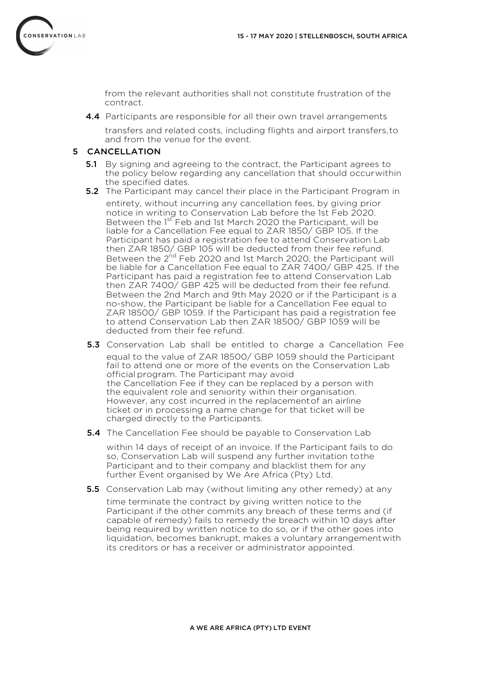

from the relevant authorities shall not constitute frustration of the contract.

**4.4** Participants are responsible for all their own travel arrangements

transfers and related costs, including flights and airport transfers,to and from the venue for the event.

### 5 CANCELLATION

- **5.1** By signing and agreeing to the contract, the Participant agrees to the policy below regarding any cancellation that should occurwithin the specified dates.
- **5.2** The Participant may cancel their place in the Participant Program in entirety, without incurring any cancellation fees, by giving prior notice in writing to Conservation Lab before the 1st Feb 2020. Between the 1<sup>st</sup> Feb and 1st March 2020 the Participant, will be liable for a Cancellation Fee equal to ZAR 1850/ GBP 105. If the Participant has paid a registration fee to attend Conservation Lab then ZAR 1850/ GBP 105 will be deducted from their fee refund. Between the 2<sup>nd</sup> Feb 2020 and 1st March 2020, the Participant will be liable for a Cancellation Fee equal to ZAR 7400/ GBP 425. If the Participant has paid a registration fee to attend Conservation Lab then ZAR 7400/ GBP 425 will be deducted from their fee refund. Between the 2nd March and 9th May 2020 or if the Participant is a no-show, the Participant be liable for a Cancellation Fee equal to ZAR 18500/ GBP 1059. If the Participant has paid a registration fee to attend Conservation Lab then ZAR 18500/ GBP 1059 will be deducted from their fee refund.
- 5.3 Conservation Lab shall be entitled to charge a Cancellation Fee equal to the value of ZAR 18500/ GBP 1059 should the Participant fail to attend one or more of the events on the Conservation Lab official program. The Participant may avoid the Cancellation Fee if they can be replaced by a person with the equivalent role and seniority within their organisation. However, any cost incurred in the replacementof an airline ticket or in processing a name change for that ticket will be charged directly to the Participants.
- **5.4** The Cancellation Fee should be payable to Conservation Lab

within 14 days of receipt of an invoice. If the Participant fails to do so, Conservation Lab will suspend any further invitation tothe Participant and to their company and blacklist them for any further Event organised by We Are Africa (Pty) Ltd.

**5.5** Conservation Lab may (without limiting any other remedy) at any

time terminate the contract by giving written notice to the Participant if the other commits any breach of these terms and (if capable of remedy) fails to remedy the breach within 10 days after being required by written notice to do so, or if the other goes into liquidation, becomes bankrupt, makes a voluntary arrangementwith its creditors or has a receiver or administrator appointed.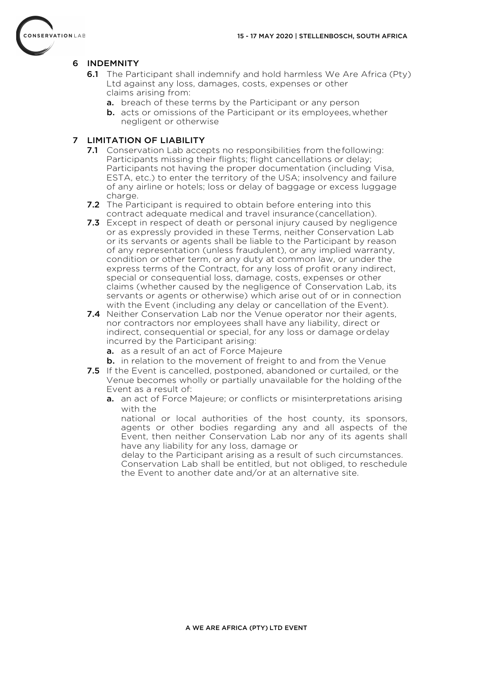

# 6 INDEMNITY

- **6.1** The Participant shall indemnify and hold harmless We Are Africa (Pty) Ltd against any loss, damages, costs, expenses or other claims arising from:
	- a. breach of these terms by the Participant or any person
	- **b.** acts or omissions of the Participant or its employees, whether negligent or otherwise

## 7 LIMITATION OF LIABILITY

- **7.1** Conservation Lab accepts no responsibilities from the following: Participants missing their flights; flight cancellations or delay; Participants not having the proper documentation (including Visa, ESTA, etc.) to enter the territory of the USA; insolvency and failure of any airline or hotels; loss or delay of baggage or excess luggage charge.
- **7.2** The Participant is required to obtain before entering into this contract adequate medical and travel insurance(cancellation).
- **7.3** Except in respect of death or personal injury caused by negligence or as expressly provided in these Terms, neither Conservation Lab or its servants or agents shall be liable to the Participant by reason of any representation (unless fraudulent), or any implied warranty, condition or other term, or any duty at common law, or under the express terms of the Contract, for any loss of profit orany indirect, special or consequential loss, damage, costs, expenses or other claims (whether caused by the negligence of Conservation Lab, its servants or agents or otherwise) which arise out of or in connection with the Event (including any delay or cancellation of the Event).
- 7.4 Neither Conservation Lab nor the Venue operator nor their agents, nor contractors nor employees shall have any liability, direct or indirect, consequential or special, for any loss or damage ordelay incurred by the Participant arising:
	- a. as a result of an act of Force Majeure
	- **b.** in relation to the movement of freight to and from the Venue
- **7.5** If the Event is cancelled, postponed, abandoned or curtailed, or the Venue becomes wholly or partially unavailable for the holding of the Event as a result of:
	- a. an act of Force Majeure; or conflicts or misinterpretations arising with the

national or local authorities of the host county, its sponsors, agents or other bodies regarding any and all aspects of the Event, then neither Conservation Lab nor any of its agents shall have any liability for any loss, damage or

delay to the Participant arising as a result of such circumstances. Conservation Lab shall be entitled, but not obliged, to reschedule the Event to another date and/or at an alternative site.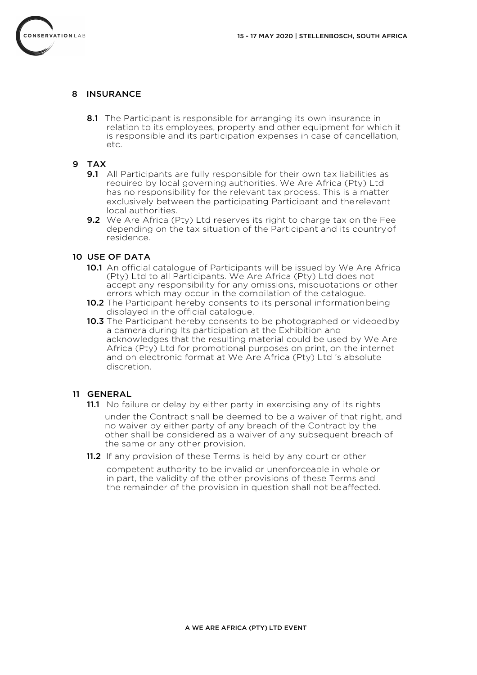

### 8 INSURANCE

8.1 The Participant is responsible for arranging its own insurance in relation to its employees, property and other equipment for which it is responsible and its participation expenses in case of cancellation, etc.

### 9 TAX

- **9.1** All Participants are fully responsible for their own tax liabilities as required by local governing authorities. We Are Africa (Pty) Ltd has no responsibility for the relevant tax process. This is a matter exclusively between the participating Participant and therelevant local authorities.
- **9.2** We Are Africa (Pty) Ltd reserves its right to charge tax on the Fee depending on the tax situation of the Participant and its countryof residence.

### 10 USE OF DATA

- 10.1 An official catalogue of Participants will be issued by We Are Africa (Pty) Ltd to all Participants. We Are Africa (Pty) Ltd does not accept any responsibility for any omissions, misquotations or other errors which may occur in the compilation of the catalogue.
- 10.2 The Participant hereby consents to its personal information being displayed in the official catalogue.
- **10.3** The Participant hereby consents to be photographed or videoed by a camera during Its participation at the Exhibition and acknowledges that the resulting material could be used by We Are Africa (Pty) Ltd for promotional purposes on print, on the internet and on electronic format at We Are Africa (Pty) Ltd 's absolute discretion.

### 11 GENERAL

- **11.1** No failure or delay by either party in exercising any of its rights under the Contract shall be deemed to be a waiver of that right, and no waiver by either party of any breach of the Contract by the other shall be considered as a waiver of any subsequent breach of the same or any other provision.
- 11.2 If any provision of these Terms is held by any court or other

competent authority to be invalid or unenforceable in whole or in part, the validity of the other provisions of these Terms and the remainder of the provision in question shall not beaffected.